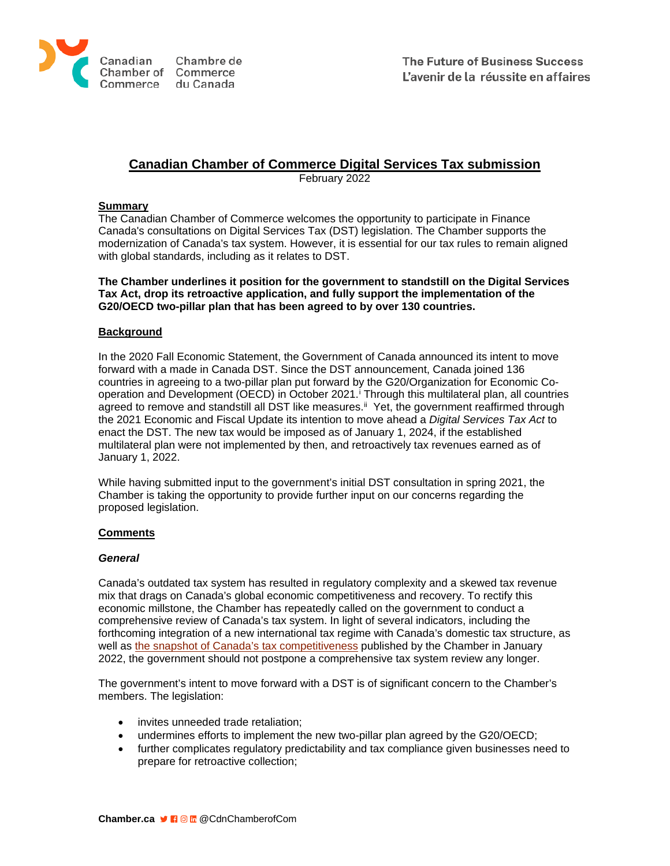

# **Canadian Chamber of Commerce Digital Services Tax submission**

February 2022

## **Summary**

The Canadian Chamber of Commerce welcomes the opportunity to participate in Finance Canada's consultations on Digital Services Tax (DST) legislation. The Chamber supports the modernization of Canada's tax system. However, it is essential for our tax rules to remain aligned with global standards, including as it relates to DST.

#### **The Chamber underlines it position for the government to standstill on the Digital Services Tax Act, drop its retroactive application, and fully support the implementation of the G20/OECD two-pillar plan that has been agreed to by over 130 countries.**

## **Background**

In the 2020 Fall Economic Statement, the Government of Canada announced its intent to move forward with a made in Canada DST. Since the DST announcement, Canada joined 136 countries in agreeing to a two-pillar plan put forward by the G20/Organization for Economic Cooperation and Development (OECD) in October 2021. [i](#page-3-0) Through this multilateral plan, all countries agreed to remove and standstill all DST like measures.<sup>[ii](#page-3-1)</sup> Yet, the government reaffirmed through the 2021 Economic and Fiscal Update its intention to move ahead a *Digital Services Tax Act* to enact the DST. The new tax would be imposed as of January 1, 2024, if the established multilateral plan were not implemented by then, and retroactively tax revenues earned as of January 1, 2022.

While having submitted input to the government's initial DST consultation in spring 2021, the Chamber is taking the opportunity to provide further input on our concerns regarding the proposed legislation.

## **Comments**

## *General*

Canada's outdated tax system has resulted in regulatory complexity and a skewed tax revenue mix that drags on Canada's global economic competitiveness and recovery. To rectify this economic millstone, the Chamber has repeatedly called on the government to conduct a comprehensive review of Canada's tax system. In light of several indicators, including the forthcoming integration of a new international tax regime with Canada's domestic tax structure, as well as [the snapshot of Canada's tax competitiveness](https://chamber.ca/wp-content/uploads/2022/01/Tax-Report-on-Competitiveness-Final-EN-December-2021-min.pdf) published by the Chamber in January 2022, the government should not postpone a comprehensive tax system review any longer.

The government's intent to move forward with a DST is of significant concern to the Chamber's members. The legislation:

- invites unneeded trade retaliation;
- undermines efforts to implement the new two-pillar plan agreed by the G20/OECD;
- further complicates regulatory predictability and tax compliance given businesses need to prepare for retroactive collection;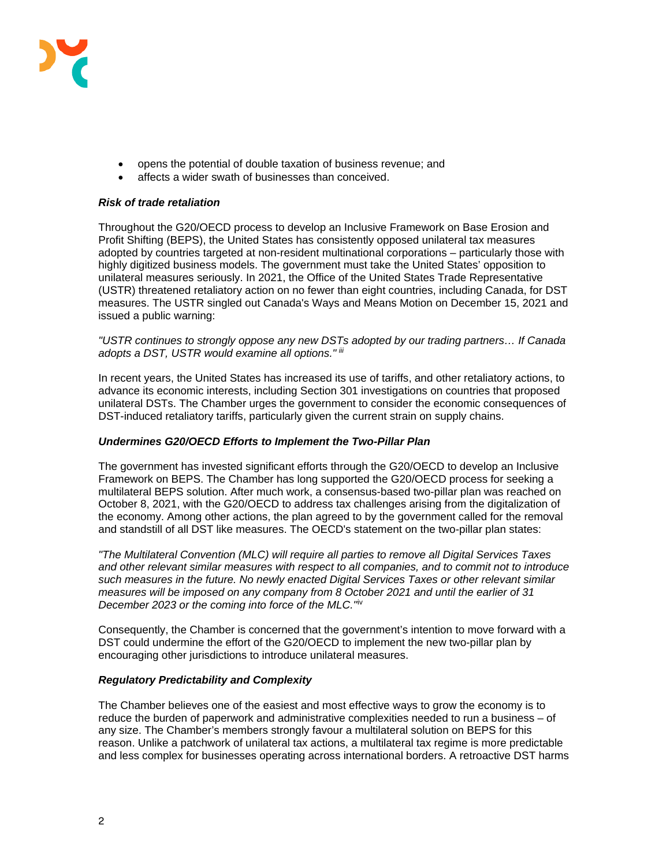

- opens the potential of double taxation of business revenue; and
- affects a wider swath of businesses than conceived.

#### *Risk of trade retaliation*

Throughout the G20/OECD process to develop an Inclusive Framework on Base Erosion and Profit Shifting (BEPS), the United States has consistently opposed unilateral tax measures adopted by countries targeted at non-resident multinational corporations – particularly those with highly digitized business models. The government must take the United States' opposition to unilateral measures seriously. In 2021, the Office of the United States Trade Representative (USTR) threatened retaliatory action on no fewer than eight countries, including Canada, for DST measures. The USTR singled out Canada's Ways and Means Motion on December 15, 2021 and issued a public warning:

*"USTR continues to strongly oppose any new DSTs adopted by our trading partners… If Canada adopts a DST, USTR would examine all options." [iii](#page-3-2)* 

In recent years, the United States has increased its use of tariffs, and other retaliatory actions, to advance its economic interests, including Section 301 investigations on countries that proposed unilateral DSTs. The Chamber urges the government to consider the economic consequences of DST-induced retaliatory tariffs, particularly given the current strain on supply chains.

## *Undermines G20/OECD Efforts to Implement the Two-Pillar Plan*

The government has invested significant efforts through the G20/OECD to develop an Inclusive Framework on BEPS. The Chamber has long supported the G20/OECD process for seeking a multilateral BEPS solution. After much work, a consensus-based two-pillar plan was reached on October 8, 2021, with the G20/OECD to address tax challenges arising from the digitalization of the economy. Among other actions, the plan agreed to by the government called for the removal and standstill of all DST like measures. The OECD's statement on the two-pillar plan states:

*"The Multilateral Convention (MLC) will require all parties to remove all Digital Services Taxes and other relevant similar measures with respect to all companies, and to commit not to introduce such measures in the future. No newly enacted Digital Services Taxes or other relevant similar measures will be imposed on any company from 8 October 2021 and until the earlier of 31 December 2023 or the coming into force of the MLC."*[iv](#page-3-3)

Consequently, the Chamber is concerned that the government's intention to move forward with a DST could undermine the effort of the G20/OECD to implement the new two-pillar plan by encouraging other jurisdictions to introduce unilateral measures.

## *Regulatory Predictability and Complexity*

The Chamber believes one of the easiest and most effective ways to grow the economy is to reduce the burden of paperwork and administrative complexities needed to run a business – of any size. The Chamber's members strongly favour a multilateral solution on BEPS for this reason. Unlike a patchwork of unilateral tax actions, a multilateral tax regime is more predictable and less complex for businesses operating across international borders. A retroactive DST harms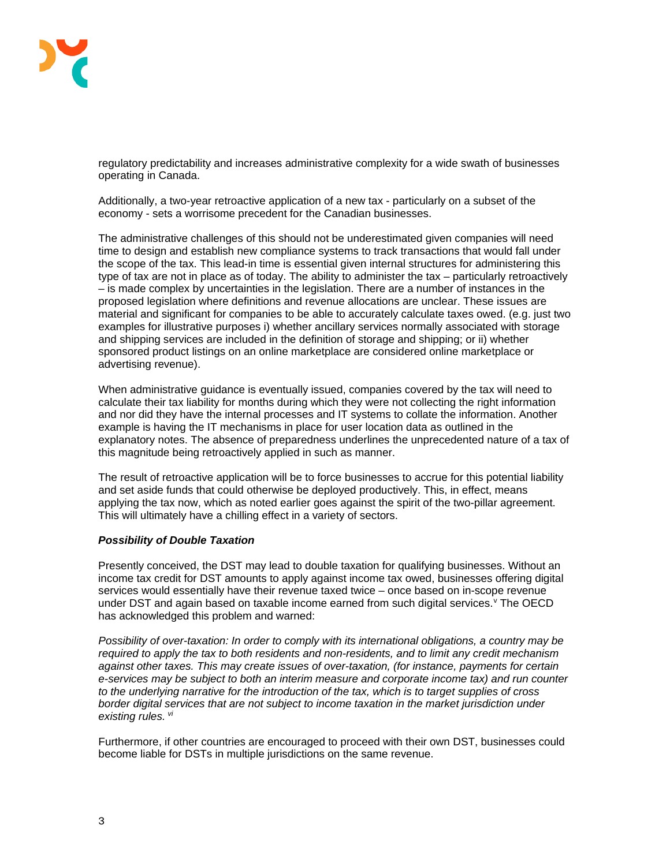

regulatory predictability and increases administrative complexity for a wide swath of businesses operating in Canada.

Additionally, a two-year retroactive application of a new tax - particularly on a subset of the economy - sets a worrisome precedent for the Canadian businesses.

The administrative challenges of this should not be underestimated given companies will need time to design and establish new compliance systems to track transactions that would fall under the scope of the tax. This lead-in time is essential given internal structures for administering this type of tax are not in place as of today. The ability to administer the tax – particularly retroactively – is made complex by uncertainties in the legislation. There are a number of instances in the proposed legislation where definitions and revenue allocations are unclear. These issues are material and significant for companies to be able to accurately calculate taxes owed. (e.g. just two examples for illustrative purposes i) whether ancillary services normally associated with storage and shipping services are included in the definition of storage and shipping; or ii) whether sponsored product listings on an online marketplace are considered online marketplace or advertising revenue).

When administrative guidance is eventually issued, companies covered by the tax will need to calculate their tax liability for months during which they were not collecting the right information and nor did they have the internal processes and IT systems to collate the information. Another example is having the IT mechanisms in place for user location data as outlined in the explanatory notes. The absence of preparedness underlines the unprecedented nature of a tax of this magnitude being retroactively applied in such as manner.

The result of retroactive application will be to force businesses to accrue for this potential liability and set aside funds that could otherwise be deployed productively. This, in effect, means applying the tax now, which as noted earlier goes against the spirit of the two-pillar agreement. This will ultimately have a chilling effect in a variety of sectors.

# *Possibility of Double Taxation*

Presently conceived, the DST may lead to double taxation for qualifying businesses. Without an income tax credit for DST amounts to apply against income tax owed, businesses offering digital services would essentially have their revenue taxed twice – once based on in-scope revenue under DST and again based on taxable income earned from such digital ser[v](#page-3-4)ices. Y The OECD has acknowledged this problem and warned:

*Possibility of over-taxation: In order to comply with its international obligations, a country may be required to apply the tax to both residents and non-residents, and to limit any credit mechanism against other taxes. This may create issues of over-taxation, (for instance, payments for certain e-services may be subject to both an interim measure and corporate income tax) and run counter to the underlying narrative for the introduction of the tax, which is to target supplies of cross border digital services that are not subject to income taxation in the market jurisdiction under existing rules. [vi](#page-3-5)*

Furthermore, if other countries are encouraged to proceed with their own DST, businesses could become liable for DSTs in multiple jurisdictions on the same revenue.